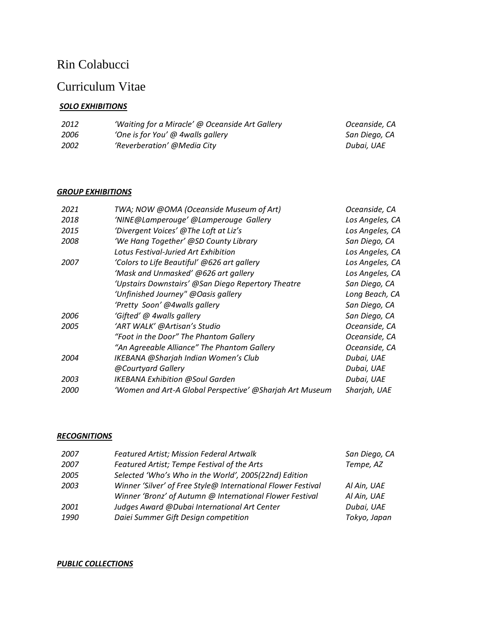# Rin Colabucci

## Curriculum Vitae

## *SOLO EXHIBITIONS*

| 2012 | 'Waiting for a Miracle' @ Oceanside Art Gallery | Oceanside, CA |
|------|-------------------------------------------------|---------------|
| 2006 | 'One is for You' @ 4walls gallery               | San Diego, CA |
| 2002 | 'Reverberation' @Media City                     | Dubai. UAE    |

## *GROUP EXHIBITIONS*

| 2021 | TWA; NOW @OMA (Oceanside Museum of Art)                  | Oceanside, CA   |
|------|----------------------------------------------------------|-----------------|
| 2018 | 'NINE@Lamperouge' @Lamperouge Gallery                    | Los Angeles, CA |
| 2015 | 'Divergent Voices' @The Loft at Liz's                    | Los Angeles, CA |
| 2008 | 'We Hang Together' @SD County Library                    | San Diego, CA   |
|      | Lotus Festival-Juried Art Exhibition                     | Los Angeles, CA |
| 2007 | 'Colors to Life Beautiful' @626 art gallery              | Los Angeles, CA |
|      | 'Mask and Unmasked' @626 art gallery                     | Los Angeles, CA |
|      | 'Upstairs Downstairs' @San Diego Repertory Theatre       | San Diego, CA   |
|      | 'Unfinished Journey" @Oasis gallery                      | Long Beach, CA  |
|      | 'Pretty Soon' @4walls gallery                            | San Diego, CA   |
| 2006 | 'Gifted' @ 4walls gallery                                | San Diego, CA   |
| 2005 | 'ART WALK' @Artisan's Studio                             | Oceanside, CA   |
|      | "Foot in the Door" The Phantom Gallery                   | Oceanside, CA   |
|      | "An Agreeable Alliance" The Phantom Gallery              | Oceanside, CA   |
| 2004 | <b>IKEBANA @Sharjah Indian Women's Club</b>              | Dubai, UAE      |
|      | @Courtyard Gallery                                       | Dubai, UAE      |
| 2003 | <b>IKEBANA Exhibition @Soul Garden</b>                   | Dubai, UAE      |
| 2000 | 'Women and Art-A Global Perspective' @Sharjah Art Museum | Sharjah, UAE    |
|      |                                                          |                 |

#### *RECOGNITIONS*

| Featured Artist; Mission Federal Artwalk                     | San Diego, CA |
|--------------------------------------------------------------|---------------|
| Featured Artist; Tempe Festival of the Arts                  | Tempe, AZ     |
| Selected 'Who's Who in the World', 2005(22nd) Edition        |               |
| Winner 'Silver' of Free Style@ International Flower Festival | Al Ain, UAE   |
| Winner 'Bronz' of Autumn @ International Flower Festival     | Al Ain, UAE   |
| Judges Award @Dubai International Art Center                 | Dubai, UAE    |
| Daiei Summer Gift Design competition                         | Tokyo, Japan  |
|                                                              |               |

#### *PUBLIC COLLECTIONS*